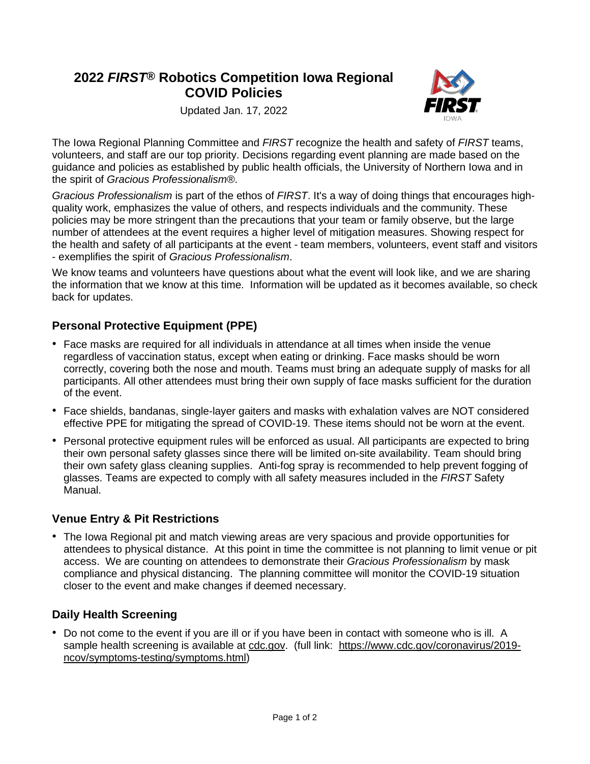# **2022** *FIRST***® Robotics Competition Iowa Regional COVID Policies**



Updated Jan. 17, 2022

The Iowa Regional Planning Committee and *FIRST* recognize the health and safety of *FIRST* teams, volunteers, and staff are our top priority. Decisions regarding event planning are made based on the guidance and policies as established by public health officials, the University of Northern Iowa and in the spirit of *Gracious Professionalism*®.

*Gracious Professionalism* is part of the ethos of *FIRST*. It's a way of doing things that encourages highquality work, emphasizes the value of others, and respects individuals and the community. These policies may be more stringent than the precautions that your team or family observe, but the large number of attendees at the event requires a higher level of mitigation measures. Showing respect for the health and safety of all participants at the event - team members, volunteers, event staff and visitors - exemplifies the spirit of *Gracious Professionalism*.

We know teams and volunteers have questions about what the event will look like, and we are sharing the information that we know at this time. Information will be updated as it becomes available, so check back for updates.

# **Personal Protective Equipment (PPE)**

- Face masks are required for all individuals in attendance at all times when inside the venue regardless of vaccination status, except when eating or drinking. Face masks should be worn correctly, covering both the nose and mouth. Teams must bring an adequate supply of masks for all participants. All other attendees must bring their own supply of face masks sufficient for the duration of the event.
- Face shields, bandanas, single-layer gaiters and masks with exhalation valves are NOT considered effective PPE for mitigating the spread of COVID-19. These items should not be worn at the event.
- Personal protective equipment rules will be enforced as usual. All participants are expected to bring their own personal safety glasses since there will be limited on-site availability. Team should bring their own safety glass cleaning supplies. Anti-fog spray is recommended to help prevent fogging of glasses. Teams are expected to comply with all safety measures included in the *FIRST* Safety Manual.

## **Venue Entry & Pit Restrictions**

• The Iowa Regional pit and match viewing areas are very spacious and provide opportunities for attendees to physical distance. At this point in time the committee is not planning to limit venue or pit access. We are counting on attendees to demonstrate their *Gracious Professionalism* by mask compliance and physical distancing. The planning committee will monitor the COVID-19 situation closer to the event and make changes if deemed necessary.

## **Daily Health Screening**

• Do not come to the event if you are ill or if you have been in contact with someone who is ill. A sample health screening is available at [cdc.gov.](https://www.cdc.gov/coronavirus/2019-ncov/symptoms-testing/symptoms.html) (full link: [https://www.cdc.gov/coronavirus/2019](https://www.cdc.gov/coronavirus/2019-ncov/symptoms-testing/symptoms.html) [ncov/symptoms-testing/symptoms.html\)](https://www.cdc.gov/coronavirus/2019-ncov/symptoms-testing/symptoms.html)